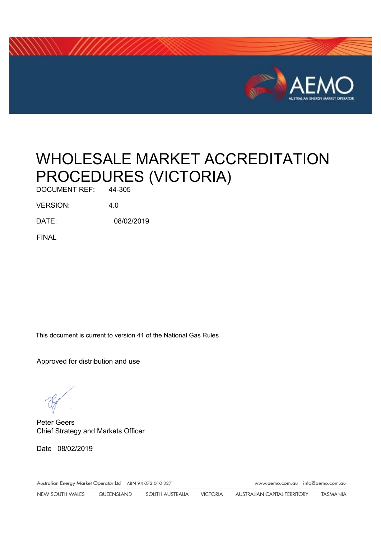

# WHOLESALE MARKET ACCREDITATION PROCEDURES (VICTORIA)

DOCUMENT REF:

VERSION: 4.0

DATE: 08/02/2019

FINAL

This document is current to version 41 of the National Gas Rules

Approved for distribution and use

Peter Geers Chief Strategy and Markets Officer

Date 08/02/2019

Australian Energy Market Operator Ltd ABN 94 072 010 327

www.aemo.com.au info@aemo.com.au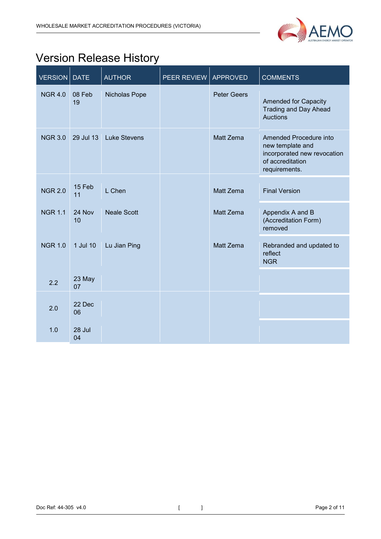

# <span id="page-1-0"></span>Version Release History

| <b>VERSION</b> | <b>DATE</b>  | <b>AUTHOR</b>       | PEER REVIEW | <b>APPROVED</b>    | <b>COMMENTS</b>                                                                                                |
|----------------|--------------|---------------------|-------------|--------------------|----------------------------------------------------------------------------------------------------------------|
| <b>NGR 4.0</b> | 08 Feb<br>19 | Nicholas Pope       |             | <b>Peter Geers</b> | <b>Amended for Capacity</b><br><b>Trading and Day Ahead</b><br><b>Auctions</b>                                 |
| <b>NGR 3.0</b> | 29 Jul 13    | <b>Luke Stevens</b> |             | Matt Zema          | Amended Procedure into<br>new template and<br>incorporated new revocation<br>of accreditation<br>requirements. |
| <b>NGR 2.0</b> | 15 Feb<br>11 | L Chen              |             | Matt Zema          | <b>Final Version</b>                                                                                           |
| <b>NGR 1.1</b> | 24 Nov<br>10 | <b>Neale Scott</b>  |             | Matt Zema          | Appendix A and B<br>(Accreditation Form)<br>removed                                                            |
| <b>NGR 1.0</b> | 1 Jul 10     | Lu Jian Ping        |             | <b>Matt Zema</b>   | Rebranded and updated to<br>reflect<br><b>NGR</b>                                                              |
| 2.2            | 23 May<br>07 |                     |             |                    |                                                                                                                |
| 2.0            | 22 Dec<br>06 |                     |             |                    |                                                                                                                |
| 1.0            | 28 Jul<br>04 |                     |             |                    |                                                                                                                |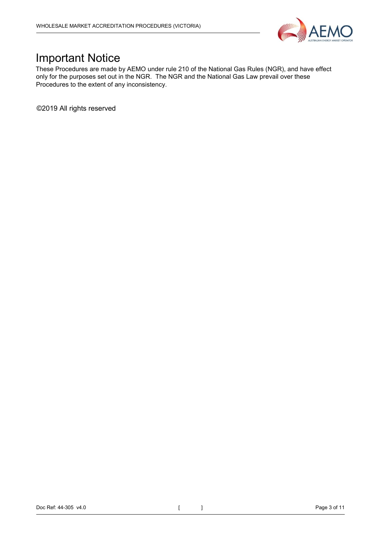

### <span id="page-2-0"></span>Important Notice

These Procedures are made by AEMO under rule 210 of the National Gas Rules (NGR), and have effect only for the purposes set out in the NGR. The NGR and the National Gas Law prevail over these Procedures to the extent of any inconsistency.

©2019 All rights reserved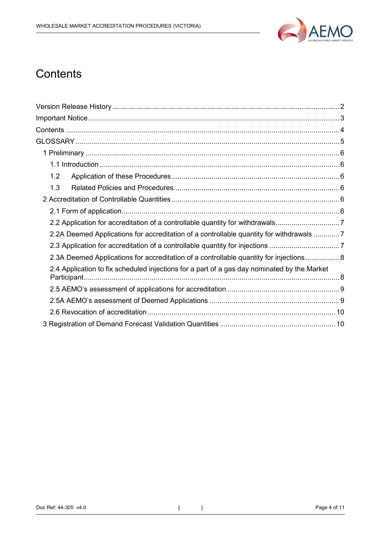

## <span id="page-3-0"></span>**Contents**

<span id="page-3-1"></span>

| 1.2                                                                                         |  |
|---------------------------------------------------------------------------------------------|--|
| 1.3                                                                                         |  |
|                                                                                             |  |
|                                                                                             |  |
| 2.2 Application for accreditation of a controllable quantity for withdrawals                |  |
| 2.2A Deemed Applications for accreditation of a controllable quantity for withdrawals 7     |  |
| 2.3 Application for accreditation of a controllable quantity for injections 7               |  |
| 2.3A Deemed Applications for accreditation of a controllable quantity for injections 8      |  |
| 2.4 Application to fix scheduled injections for a part of a gas day nominated by the Market |  |
|                                                                                             |  |
|                                                                                             |  |
|                                                                                             |  |
|                                                                                             |  |
|                                                                                             |  |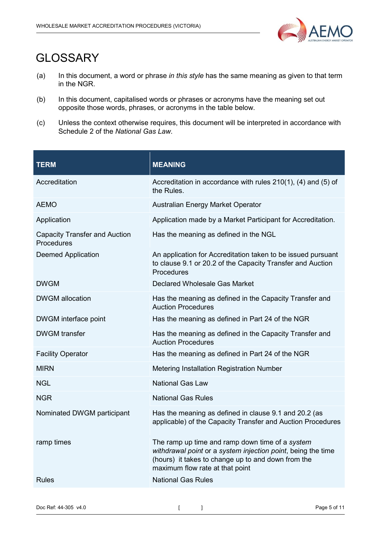

# **GLOSSARY**

- (a) In this document, a word or phrase *in this style* has the same meaning as given to that term in the NGR.
- (b) In this document, capitalised words or phrases or acronyms have the meaning set out opposite those words, phrases, or acronyms in the table below.
- (c) Unless the context otherwise requires, this document will be interpreted in accordance with Schedule 2 of the *National Gas Law*.

| <b>TERM</b>                                        | <b>MEANING</b>                                                                                                                                                                                           |  |
|----------------------------------------------------|----------------------------------------------------------------------------------------------------------------------------------------------------------------------------------------------------------|--|
| Accreditation                                      | Accreditation in accordance with rules $210(1)$ , (4) and (5) of<br>the Rules.                                                                                                                           |  |
| <b>AEMO</b>                                        | Australian Energy Market Operator                                                                                                                                                                        |  |
| Application                                        | Application made by a Market Participant for Accreditation.                                                                                                                                              |  |
| <b>Capacity Transfer and Auction</b><br>Procedures | Has the meaning as defined in the NGL                                                                                                                                                                    |  |
| <b>Deemed Application</b>                          | An application for Accreditation taken to be issued pursuant<br>to clause 9.1 or 20.2 of the Capacity Transfer and Auction<br>Procedures                                                                 |  |
| <b>DWGM</b>                                        | Declared Wholesale Gas Market                                                                                                                                                                            |  |
| <b>DWGM</b> allocation                             | Has the meaning as defined in the Capacity Transfer and<br><b>Auction Procedures</b>                                                                                                                     |  |
| DWGM interface point                               | Has the meaning as defined in Part 24 of the NGR                                                                                                                                                         |  |
| <b>DWGM</b> transfer                               | Has the meaning as defined in the Capacity Transfer and<br><b>Auction Procedures</b>                                                                                                                     |  |
| <b>Facility Operator</b>                           | Has the meaning as defined in Part 24 of the NGR                                                                                                                                                         |  |
| <b>MIRN</b>                                        | <b>Metering Installation Registration Number</b>                                                                                                                                                         |  |
| <b>NGL</b>                                         | <b>National Gas Law</b>                                                                                                                                                                                  |  |
| <b>NGR</b>                                         | <b>National Gas Rules</b>                                                                                                                                                                                |  |
| Nominated DWGM participant                         | Has the meaning as defined in clause 9.1 and 20.2 (as<br>applicable) of the Capacity Transfer and Auction Procedures                                                                                     |  |
| ramp times                                         | The ramp up time and ramp down time of a system<br>withdrawal point or a system injection point, being the time<br>(hours) it takes to change up to and down from the<br>maximum flow rate at that point |  |
| <b>Rules</b>                                       | <b>National Gas Rules</b>                                                                                                                                                                                |  |
|                                                    |                                                                                                                                                                                                          |  |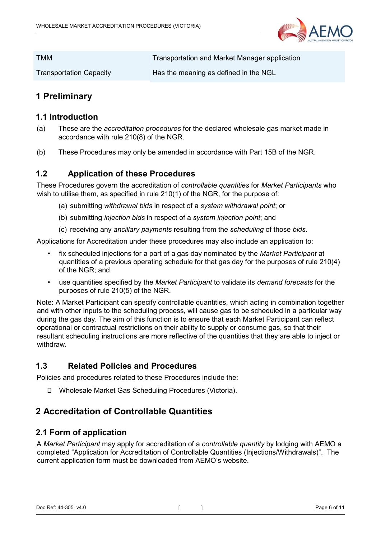

| <b>TMM</b>                     | Transportation and Market Manager application |
|--------------------------------|-----------------------------------------------|
| <b>Transportation Capacity</b> | Has the meaning as defined in the NGL         |

#### <span id="page-5-0"></span>**1 Preliminary**

#### <span id="page-5-1"></span>**1.1 Introduction**

- (a) These are the *accreditation procedures* for the declared wholesale gas market made in accordance with rule 210(8) of the NGR.
- (b) These Procedures may only be amended in accordance with Part 15B of the NGR.

#### <span id="page-5-2"></span>**1.2 Application of these Procedures**

These Procedures govern the accreditation of *controllable quantities* for *Market Participants* who wish to utilise them, as specified in rule 210(1) of the NGR, for the purpose of:

- (a) submitting *withdrawal bids* in respect of a *system withdrawal point*; or
- (b) submitting *injection bids* in respect of a *system injection point*; and
- (c) receiving any *ancillary payments* resulting from the *scheduling* of those *bids*.

Applications for Accreditation under these procedures may also include an application to:

- fix scheduled injections for a part of a gas day nominated by the *Market Participant* at quantities of a previous operating schedule for that gas day for the purposes of rule 210(4) of the NGR; and
- use quantities specified by the *Market Participant* to validate its *demand forecasts* for the purposes of rule 210(5) of the NGR.

Note: A Market Participant can specify controllable quantities, which acting in combination together and with other inputs to the scheduling process, will cause gas to be scheduled in a particular way during the gas day. The aim of this function is to ensure that each Market Participant can reflect operational or contractual restrictions on their ability to supply or consume gas, so that their resultant scheduling instructions are more reflective of the quantities that they are able to inject or withdraw.

#### <span id="page-5-3"></span>**1.3 Related Policies and Procedures**

Policies and procedures related to these Procedures include the:

Wholesale Market Gas Scheduling Procedures (Victoria).

#### <span id="page-5-4"></span>**2 Accreditation of Controllable Quantities**

#### <span id="page-5-5"></span>**2.1 Form of application**

A *Market Participant* may apply for accreditation of a *controllable quantity* by lodging with AEMO a completed "Application for Accreditation of Controllable Quantities (Injections/Withdrawals)". The current application form must be downloaded from AEMO's website.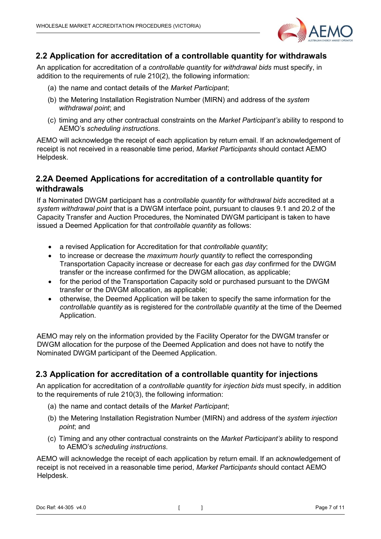

#### <span id="page-6-0"></span>**2.2 Application for accreditation of a controllable quantity for withdrawals**

An application for accreditation of a *controllable quantity* for *withdrawal bids* must specify, in addition to the requirements of rule 210(2), the following information:

- (a) the name and contact details of the *Market Participant*;
- (b) the Metering Installation Registration Number (MIRN) and address of the *system withdrawal point*; and
- (c) timing and any other contractual constraints on the *Market Participant's* ability to respond to AEMO's *scheduling instructions*.

AEMO will acknowledge the receipt of each application by return email. If an acknowledgement of receipt is not received in a reasonable time period, *Market Participants* should contact AEMO Helpdesk.

#### <span id="page-6-1"></span>**2.2A Deemed Applications for accreditation of a controllable quantity for withdrawals**

If a Nominated DWGM participant has a *controllable quantity* for *withdrawal bids* accredited at a *system withdrawal point* that is a DWGM interface point, pursuant to clauses 9.1 and 20.2 of the Capacity Transfer and Auction Procedures, the Nominated DWGM participant is taken to have issued a Deemed Application for that *controllable quantity* as follows:

- a revised Application for Accreditation for that *controllable quantity*;
- to increase or decrease the *maximum hourly quantity* to reflect the corresponding Transportation Capacity increase or decrease for each *gas day* confirmed for the DWGM transfer or the increase confirmed for the DWGM allocation, as applicable;
- for the period of the Transportation Capacity sold or purchased pursuant to the DWGM transfer or the DWGM allocation, as applicable;
- otherwise, the Deemed Application will be taken to specify the same information for the *controllable quantity* as is registered for the *controllable quantity* at the time of the Deemed Application.

AEMO may rely on the information provided by the Facility Operator for the DWGM transfer or DWGM allocation for the purpose of the Deemed Application and does not have to notify the Nominated DWGM participant of the Deemed Application.

#### <span id="page-6-2"></span>**2.3 Application for accreditation of a controllable quantity for injections**

An application for accreditation of a *controllable quantity* for *injection bids* must specify, in addition to the requirements of rule 210(3), the following information:

- (a) the name and contact details of the *Market Participant*;
- (b) the Metering Installation Registration Number (MIRN) and address of the *system injection point*; and
- (c) Timing and any other contractual constraints on the *Market Participant's* ability to respond to AEMO's *scheduling instructions*.

AEMO will acknowledge the receipt of each application by return email. If an acknowledgement of receipt is not received in a reasonable time period, *Market Participants* should contact AEMO Helpdesk.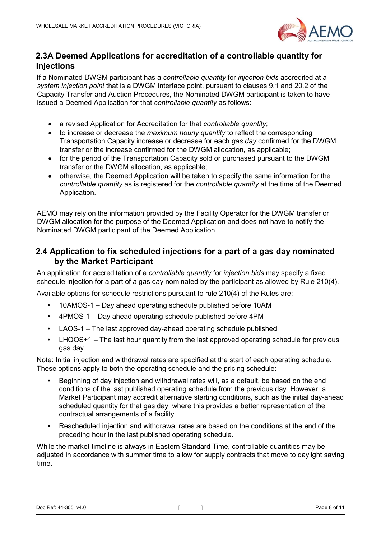

#### <span id="page-7-0"></span>**2.3A Deemed Applications for accreditation of a controllable quantity for injections**

If a Nominated DWGM participant has a *controllable quantity* for *injection bids* accredited at a *system injection point* that is a DWGM interface point, pursuant to clauses 9.1 and 20.2 of the Capacity Transfer and Auction Procedures, the Nominated DWGM participant is taken to have issued a Deemed Application for that *controllable quantity* as follows:

- a revised Application for Accreditation for that *controllable quantity*;
- to increase or decrease the *maximum hourly quantity* to reflect the corresponding Transportation Capacity increase or decrease for each *gas day* confirmed for the DWGM transfer or the increase confirmed for the DWGM allocation, as applicable;
- for the period of the Transportation Capacity sold or purchased pursuant to the DWGM transfer or the DWGM allocation, as applicable;
- otherwise, the Deemed Application will be taken to specify the same information for the *controllable quantity* as is registered for the *controllable quantity* at the time of the Deemed Application.

AEMO may rely on the information provided by the Facility Operator for the DWGM transfer or DWGM allocation for the purpose of the Deemed Application and does not have to notify the Nominated DWGM participant of the Deemed Application.

#### <span id="page-7-1"></span>**2.4 Application to fix scheduled injections for a part of a gas day nominated by the Market Participant**

An application for accreditation of a *controllable quantity* for *injection bids* may specify a fixed schedule injection for a part of a gas day nominated by the participant as allowed by Rule 210(4).

Available options for schedule restrictions pursuant to rule 210(4) of the Rules are:

- 10AMOS-1 Day ahead operating schedule published before 10AM
- 4PMOS-1 Day ahead operating schedule published before 4PM
- LAOS-1 The last approved day-ahead operating schedule published
- LHQOS+1 The last hour quantity from the last approved operating schedule for previous gas day

Note: Initial injection and withdrawal rates are specified at the start of each operating schedule. These options apply to both the operating schedule and the pricing schedule:

- Beginning of day injection and withdrawal rates will, as a default, be based on the end conditions of the last published operating schedule from the previous day. However, a Market Participant may accredit alternative starting conditions, such as the initial day-ahead scheduled quantity for that gas day, where this provides a better representation of the contractual arrangements of a facility.
- Rescheduled injection and withdrawal rates are based on the conditions at the end of the preceding hour in the last published operating schedule.

While the market timeline is always in Eastern Standard Time, controllable quantities may be adjusted in accordance with summer time to allow for supply contracts that move to daylight saving time.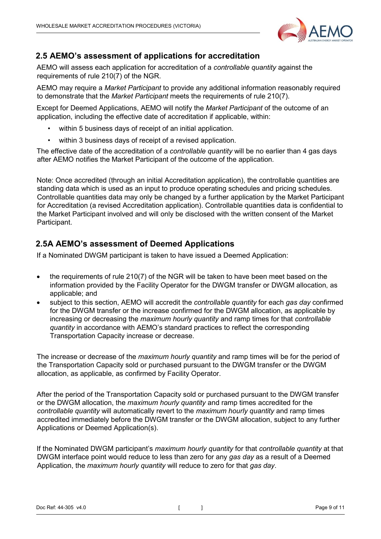

#### <span id="page-8-0"></span>**2.5 AEMO's assessment of applications for accreditation**

AEMO will assess each application for accreditation of a *controllable quantity* against the requirements of rule 210(7) of the NGR.

AEMO may require a *Market Participant* to provide any additional information reasonably required to demonstrate that the *Market Participant* meets the requirements of rule 210(7).

Except for Deemed Applications, AEMO will notify the *Market Participant* of the outcome of an application, including the effective date of accreditation if applicable, within:

- within 5 business days of receipt of an initial application.
- within 3 business days of receipt of a revised application.

The effective date of the accreditation of a *controllable quantity* will be no earlier than 4 gas days after AEMO notifies the Market Participant of the outcome of the application.

Note: Once accredited (through an initial Accreditation application), the controllable quantities are standing data which is used as an input to produce operating schedules and pricing schedules. Controllable quantities data may only be changed by a further application by the Market Participant for Accreditation (a revised Accreditation application). Controllable quantities data is confidential to the Market Participant involved and will only be disclosed with the written consent of the Market Participant.

#### <span id="page-8-1"></span>**2.5A AEMO's assessment of Deemed Applications**

If a Nominated DWGM participant is taken to have issued a Deemed Application:

- the requirements of rule 210(7) of the NGR will be taken to have been meet based on the information provided by the Facility Operator for the DWGM transfer or DWGM allocation, as applicable; and
- subject to this section, AEMO will accredit the *controllable quantity* for each *gas day* confirmed for the DWGM transfer or the increase confirmed for the DWGM allocation, as applicable by increasing or decreasing the *maximum hourly quantity* and ramp times for that *controllable quantity* in accordance with AEMO's standard practices to reflect the corresponding Transportation Capacity increase or decrease.

The increase or decrease of the *maximum hourly quantity* and ramp times will be for the period of the Transportation Capacity sold or purchased pursuant to the DWGM transfer or the DWGM allocation, as applicable, as confirmed by Facility Operator.

After the period of the Transportation Capacity sold or purchased pursuant to the DWGM transfer or the DWGM allocation, the *maximum hourly quantity* and ramp times accredited for the *controllable quantity* will automatically revert to the *maximum hourly quantity* and ramp times accredited immediately before the DWGM transfer or the DWGM allocation, subject to any further Applications or Deemed Application(s).

If the Nominated DWGM participant's *maximum hourly quantity* for that *controllable quantity* at that DWGM interface point would reduce to less than zero for any *gas day* as a result of a Deemed Application, the *maximum hourly quantity* will reduce to zero for that *gas day*.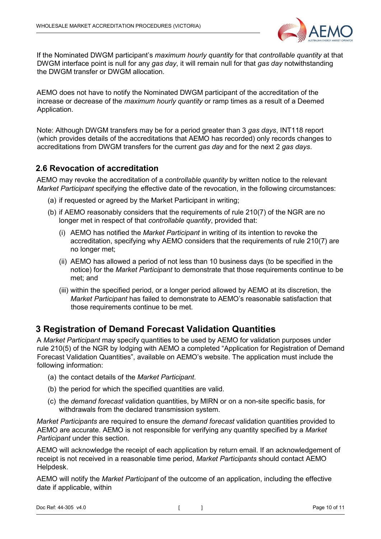

If the Nominated DWGM participant's *maximum hourly quantity* for that *controllable quantity* at that DWGM interface point is null for any *gas day*, it will remain null for that *gas day* notwithstanding the DWGM transfer or DWGM allocation.

AEMO does not have to notify the Nominated DWGM participant of the accreditation of the increase or decrease of the *maximum hourly quantity* or ramp times as a result of a Deemed Application.

Note: Although DWGM transfers may be for a period greater than 3 *gas days*, INT118 report (which provides details of the accreditations that AEMO has recorded) only records changes to accreditations from DWGM transfers for the current *gas day* and for the next 2 *gas days*.

#### <span id="page-9-0"></span>**2.6 Revocation of accreditation**

AEMO may revoke the accreditation of a *controllable quantity* by written notice to the relevant *Market Participant* specifying the effective date of the revocation, in the following circumstances:

- (a) if requested or agreed by the Market Participant in writing;
- (b) if AEMO reasonably considers that the requirements of rule 210(7) of the NGR are no longer met in respect of that *controllable quantity*, provided that:
	- (i) AEMO has notified the *Market Participant* in writing of its intention to revoke the accreditation, specifying why AEMO considers that the requirements of rule 210(7) are no longer met;
	- (ii) AEMO has allowed a period of not less than 10 business days (to be specified in the notice) for the *Market Participant* to demonstrate that those requirements continue to be met; and
	- (iii) within the specified period, or a longer period allowed by AEMO at its discretion, the *Market Participant* has failed to demonstrate to AEMO's reasonable satisfaction that those requirements continue to be met.

#### <span id="page-9-1"></span>**3 Registration of Demand Forecast Validation Quantities**

A *Market Participant* may specify quantities to be used by AEMO for validation purposes under rule 210(5) of the NGR by lodging with AEMO a completed "Application for Registration of Demand Forecast Validation Quantities", available on AEMO's website. The application must include the following information:

- (a) the contact details of the *Market Participant*.
- (b) the period for which the specified quantities are valid.
- (c) the *demand forecast* validation quantities, by MIRN or on a non-site specific basis, for withdrawals from the declared transmission system.

*Market Participants* are required to ensure the *demand forecast* validation quantities provided to AEMO are accurate. AEMO is not responsible for verifying any quantity specified by a *Market Participant* under this section.

AEMO will acknowledge the receipt of each application by return email. If an acknowledgement of receipt is not received in a reasonable time period, *Market Participants* should contact AEMO Helpdesk.

AEMO will notify the *Market Participant* of the outcome of an application, including the effective date if applicable, within